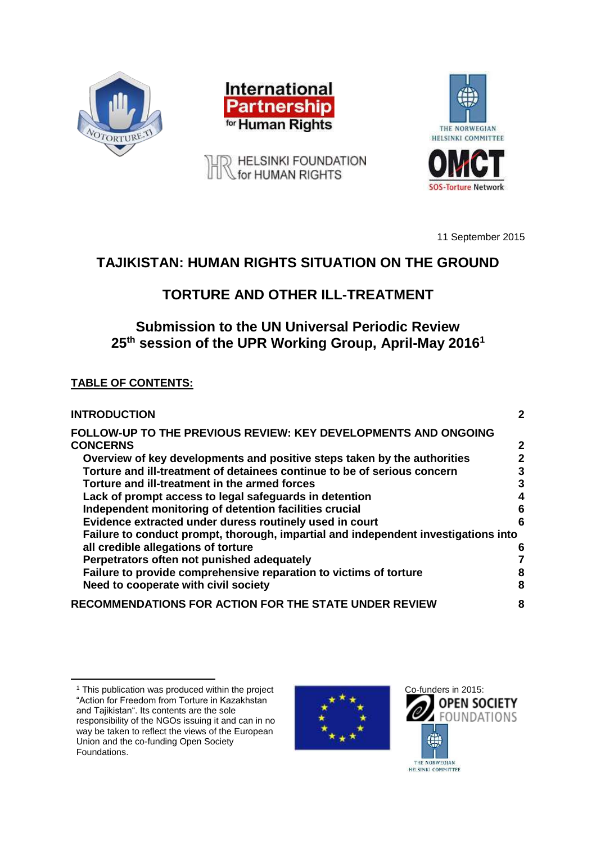





A HELSINKI FOUNDATION

11 September 2015

# **TAJIKISTAN: HUMAN RIGHTS SITUATION ON THE GROUND**

# **TORTURE AND OTHER ILL-TREATMENT**

# **Submission to the UN Universal Periodic Review 25th session of the UPR Working Group, April-May 2016<sup>1</sup>**

## **TABLE OF CONTENTS:**

| <b>INTRODUCTION</b>                                                                | 2            |
|------------------------------------------------------------------------------------|--------------|
| FOLLOW-UP TO THE PREVIOUS REVIEW: KEY DEVELOPMENTS AND ONGOING<br><b>CONCERNS</b>  | $\mathbf{2}$ |
| Overview of key developments and positive steps taken by the authorities           | 2            |
| Torture and ill-treatment of detainees continue to be of serious concern           | 3            |
| Torture and ill-treatment in the armed forces                                      | 3            |
| Lack of prompt access to legal safeguards in detention                             | 4            |
| Independent monitoring of detention facilities crucial                             | 6            |
| Evidence extracted under duress routinely used in court                            | 6            |
| Failure to conduct prompt, thorough, impartial and independent investigations into |              |
| all credible allegations of torture                                                | 6            |
| Perpetrators often not punished adequately                                         |              |
| Failure to provide comprehensive reparation to victims of torture                  | 8            |
| Need to cooperate with civil society                                               | 8            |
| RECOMMENDATIONS FOR ACTION FOR THE STATE UNDER REVIEW                              | 8            |

 $\overline{a}$ 





<sup>&</sup>lt;sup>1</sup> This publication was produced within the project "Action for Freedom from Torture in Kazakhstan and Tajikistan". Its contents are the sole responsibility of the NGOs issuing it and can in no way be taken to reflect the views of the European Union and the co-funding Open Society Foundations.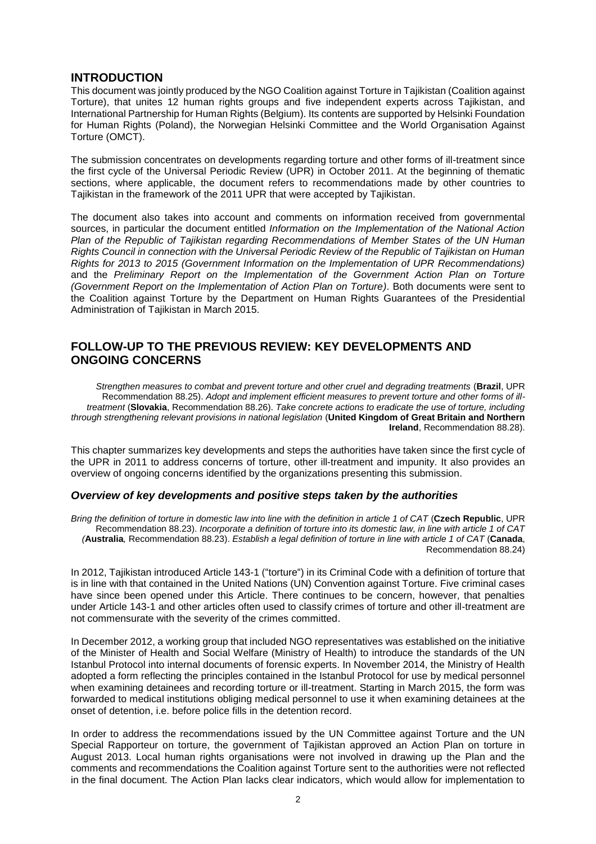## **INTRODUCTION**

This document was jointly produced by the NGO Coalition against Torture in Tajikistan (Coalition against Torture), that unites 12 human rights groups and five independent experts across Tajikistan, and International Partnership for Human Rights (Belgium). Its contents are supported by Helsinki Foundation for Human Rights (Poland), the Norwegian Helsinki Committee and the World Organisation Against Torture (OMCT).

The submission concentrates on developments regarding torture and other forms of ill-treatment since the first cycle of the Universal Periodic Review (UPR) in October 2011. At the beginning of thematic sections, where applicable, the document refers to recommendations made by other countries to Tajikistan in the framework of the 2011 UPR that were accepted by Tajikistan.

The document also takes into account and comments on information received from governmental sources, in particular the document entitled *Information on the Implementation of the National Action Plan of the Republic of Tajikistan regarding Recommendations of Member States of the UN Human Rights Council in connection with the Universal Periodic Review of the Republic of Tajikistan on Human Rights for 2013 to 2015 (Government Information on the Implementation of UPR Recommendations)* and the *Preliminary Report on the Implementation of the Government Action Plan on Torture (Government Report on the Implementation of Action Plan on Torture)*. Both documents were sent to the Coalition against Torture by the Department on Human Rights Guarantees of the Presidential Administration of Tajikistan in March 2015.

## **FOLLOW-UP TO THE PREVIOUS REVIEW: KEY DEVELOPMENTS AND ONGOING CONCERNS**

*Strengthen measures to combat and prevent torture and other cruel and degrading treatments* (**Brazil**, UPR Recommendation 88.25). *Adopt and implement efficient measures to prevent torture and other forms of illtreatment* (**Slovakia**, Recommendation 88.26). *Take concrete actions to eradicate the use of torture, including through strengthening relevant provisions in national legislation* (**United Kingdom of Great Britain and Northern Ireland**, Recommendation 88.28).

This chapter summarizes key developments and steps the authorities have taken since the first cycle of the UPR in 2011 to address concerns of torture, other ill-treatment and impunity. It also provides an overview of ongoing concerns identified by the organizations presenting this submission.

## *Overview of key developments and positive steps taken by the authorities*

*Bring the definition of torture in domestic law into line with the definition in article 1 of CAT* (**Czech Republic**, UPR Recommendation 88.23). *Incorporate a definition of torture into its domestic law, in line with article 1 of CAT (***Australia***,* Recommendation 88.23). *Establish a legal definition of torture in line with article 1 of CAT* (**Canada**, Recommendation 88.24)

In 2012, Tajikistan introduced Article 143-1 ("torture") in its Criminal Code with a definition of torture that is in line with that contained in the United Nations (UN) Convention against Torture. Five criminal cases have since been opened under this Article. There continues to be concern, however, that penalties under Article 143-1 and other articles often used to classify crimes of torture and other ill-treatment are not commensurate with the severity of the crimes committed.

In December 2012, a working group that included NGO representatives was established on the initiative of the Minister of Health and Social Welfare (Ministry of Health) to introduce the standards of the UN Istanbul Protocol into internal documents of forensic experts. In November 2014, the Ministry of Health adopted a form reflecting the principles contained in the Istanbul Protocol for use by medical personnel when examining detainees and recording torture or ill-treatment. Starting in March 2015, the form was forwarded to medical institutions obliging medical personnel to use it when examining detainees at the onset of detention, i.e. before police fills in the detention record.

In order to address the recommendations issued by the UN Committee against Torture and the UN Special Rapporteur on torture, the government of Tajikistan approved an Action Plan on torture in August 2013. Local human rights organisations were not involved in drawing up the Plan and the comments and recommendations the Coalition against Torture sent to the authorities were not reflected in the final document. The Action Plan lacks clear indicators, which would allow for implementation to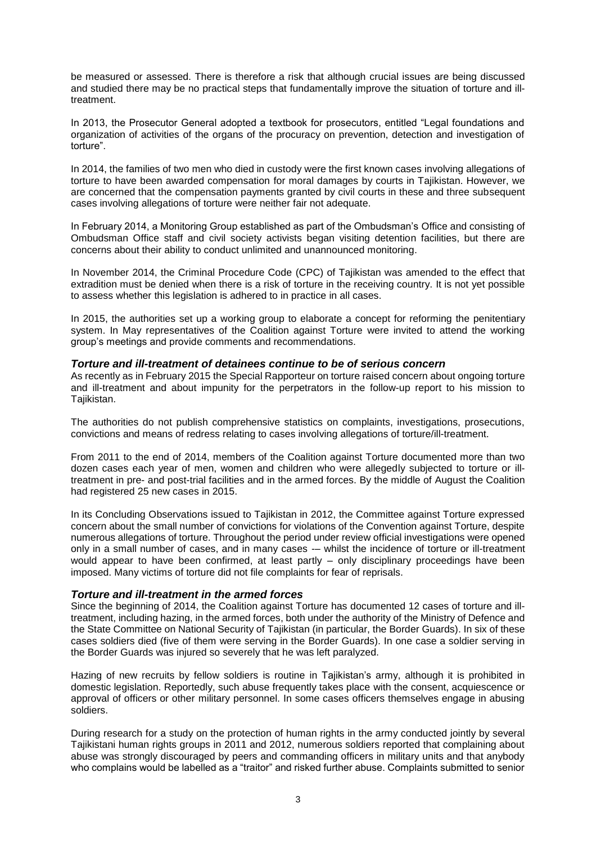be measured or assessed. There is therefore a risk that although crucial issues are being discussed and studied there may be no practical steps that fundamentally improve the situation of torture and illtreatment.

In 2013, the Prosecutor General adopted a textbook for prosecutors, entitled "Legal foundations and organization of activities of the organs of the procuracy on prevention, detection and investigation of torture".

In 2014, the families of two men who died in custody were the first known cases involving allegations of torture to have been awarded compensation for moral damages by courts in Tajikistan. However, we are concerned that the compensation payments granted by civil courts in these and three subsequent cases involving allegations of torture were neither fair not adequate.

In February 2014, a Monitoring Group established as part of the Ombudsman's Office and consisting of Ombudsman Office staff and civil society activists began visiting detention facilities, but there are concerns about their ability to conduct unlimited and unannounced monitoring.

In November 2014, the Criminal Procedure Code (CPC) of Tajikistan was amended to the effect that extradition must be denied when there is a risk of torture in the receiving country. It is not yet possible to assess whether this legislation is adhered to in practice in all cases.

In 2015, the authorities set up a working group to elaborate a concept for reforming the penitentiary system. In May representatives of the Coalition against Torture were invited to attend the working group's meetings and provide comments and recommendations.

#### *Torture and ill-treatment of detainees continue to be of serious concern*

As recently as in February 2015 the Special Rapporteur on torture raised concern about ongoing torture and ill-treatment and about impunity for the perpetrators in the follow-up report to his mission to Tajikistan.

The authorities do not publish comprehensive statistics on complaints, investigations, prosecutions, convictions and means of redress relating to cases involving allegations of torture/ill-treatment.

From 2011 to the end of 2014, members of the Coalition against Torture documented more than two dozen cases each year of men, women and children who were allegedly subjected to torture or illtreatment in pre- and post-trial facilities and in the armed forces. By the middle of August the Coalition had registered 25 new cases in 2015.

In its Concluding Observations issued to Tajikistan in 2012, the Committee against Torture expressed concern about the small number of convictions for violations of the Convention against Torture, despite numerous allegations of torture. Throughout the period under review official investigations were opened only in a small number of cases, and in many cases -– whilst the incidence of torture or ill-treatment would appear to have been confirmed, at least partly – only disciplinary proceedings have been imposed. Many victims of torture did not file complaints for fear of reprisals.

## *Torture and ill-treatment in the armed forces*

Since the beginning of 2014, the Coalition against Torture has documented 12 cases of torture and illtreatment, including hazing, in the armed forces, both under the authority of the Ministry of Defence and the State Committee on National Security of Tajikistan (in particular, the Border Guards). In six of these cases soldiers died (five of them were serving in the Border Guards). In one case a soldier serving in the Border Guards was injured so severely that he was left paralyzed.

Hazing of new recruits by fellow soldiers is routine in Tajikistan's army, although it is prohibited in domestic legislation. Reportedly, such abuse frequently takes place with the consent, acquiescence or approval of officers or other military personnel. In some cases officers themselves engage in abusing soldiers.

During research for a study on the protection of human rights in the army conducted jointly by several Tajikistani human rights groups in 2011 and 2012, numerous soldiers reported that complaining about abuse was strongly discouraged by peers and commanding officers in military units and that anybody who complains would be labelled as a "traitor" and risked further abuse. Complaints submitted to senior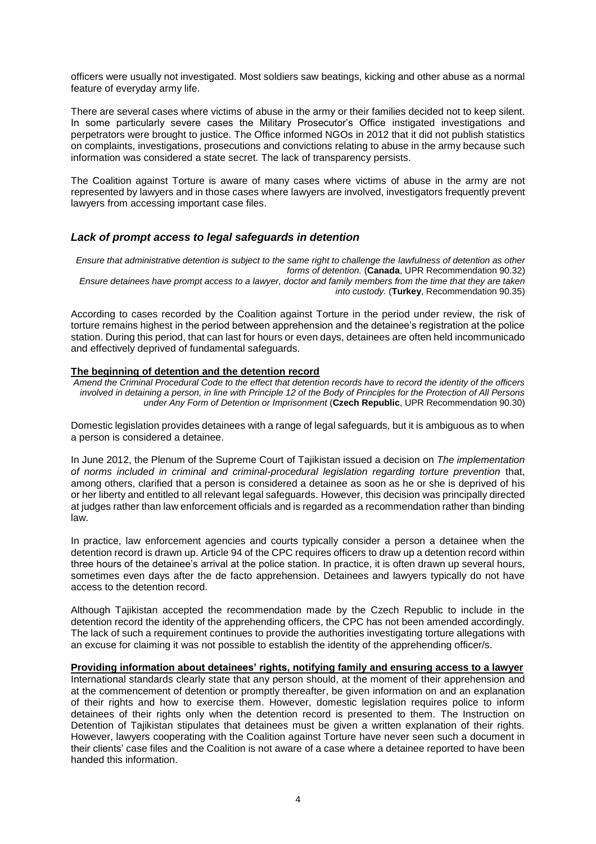officers were usually not investigated. Most soldiers saw beatings, kicking and other abuse as a normal feature of everyday army life.

There are several cases where victims of abuse in the army or their families decided not to keep silent. In some particularly severe cases the Military Prosecutor's Office instigated investigations and perpetrators were brought to justice. The Office informed NGOs in 2012 that it did not publish statistics on complaints, investigations, prosecutions and convictions relating to abuse in the army because such information was considered a state secret. The lack of transparency persists.

The Coalition against Torture is aware of many cases where victims of abuse in the army are not represented by lawyers and in those cases where lawyers are involved, investigators frequently prevent lawyers from accessing important case files.

## *Lack of prompt access to legal safeguards in detention*

*Ensure that administrative detention is subject to the same right to challenge the lawfulness of detention as other forms of detention.* (**Canada**, UPR Recommendation 90.32) *Ensure detainees have prompt access to a lawyer, doctor and family members from the time that they are taken into custody.* (**Turkey**, Recommendation 90.35)

According to cases recorded by the Coalition against Torture in the period under review, the risk of torture remains highest in the period between apprehension and the detainee's registration at the police station. During this period, that can last for hours or even days, detainees are often held incommunicado and effectively deprived of fundamental safeguards.

#### **The beginning of detention and the detention record**

*Amend the Criminal Procedural Code to the effect that detention records have to record the identity of the officers involved in detaining a person, in line with Principle 12 of the Body of Principles for the Protection of All Persons under Any Form of Detention or Imprisonment* (**Czech Republic**, UPR Recommendation 90.30)

Domestic legislation provides detainees with a range of legal safeguards, but it is ambiguous as to when a person is considered a detainee.

In June 2012, the Plenum of the Supreme Court of Tajikistan issued a decision on *The implementation of norms included in criminal and criminal-procedural legislation regarding torture prevention* that, among others, clarified that a person is considered a detainee as soon as he or she is deprived of his or her liberty and entitled to all relevant legal safeguards. However, this decision was principally directed at judges rather than law enforcement officials and is regarded as a recommendation rather than binding law.

In practice, law enforcement agencies and courts typically consider a person a detainee when the detention record is drawn up. Article 94 of the CPC requires officers to draw up a detention record within three hours of the detainee's arrival at the police station. In practice, it is often drawn up several hours, sometimes even days after the de facto apprehension. Detainees and lawyers typically do not have access to the detention record.

Although Tajikistan accepted the recommendation made by the Czech Republic to include in the detention record the identity of the apprehending officers, the CPC has not been amended accordingly. The lack of such a requirement continues to provide the authorities investigating torture allegations with an excuse for claiming it was not possible to establish the identity of the apprehending officer/s.

#### **Providing information about detainees' rights, notifying family and ensuring access to a lawyer**

International standards clearly state that any person should, at the moment of their apprehension and at the commencement of detention or promptly thereafter, be given information on and an explanation of their rights and how to exercise them. However, domestic legislation requires police to inform detainees of their rights only when the detention record is presented to them. The Instruction on Detention of Tajikistan stipulates that detainees must be given a written explanation of their rights. However, lawyers cooperating with the Coalition against Torture have never seen such a document in their clients' case files and the Coalition is not aware of a case where a detainee reported to have been handed this information.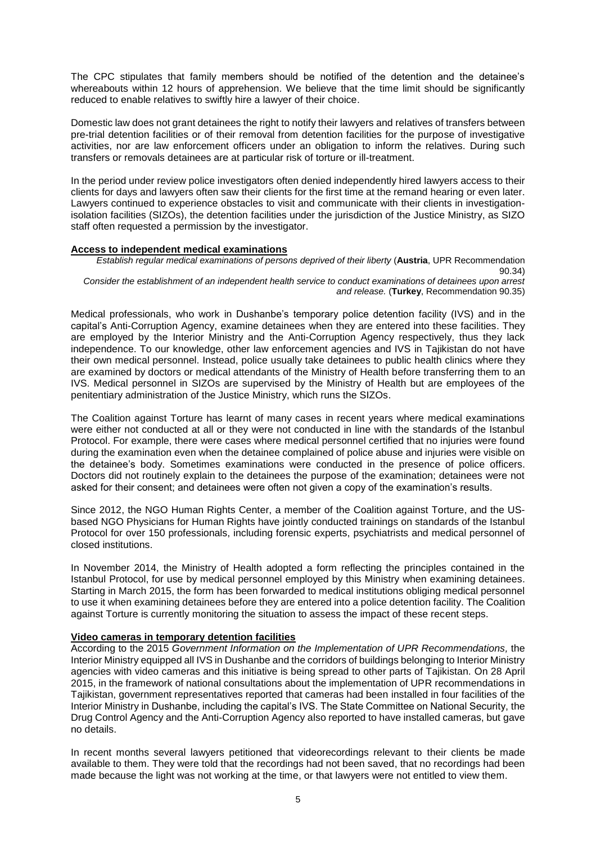The CPC stipulates that family members should be notified of the detention and the detainee's whereabouts within 12 hours of apprehension. We believe that the time limit should be significantly reduced to enable relatives to swiftly hire a lawyer of their choice.

Domestic law does not grant detainees the right to notify their lawyers and relatives of transfers between pre-trial detention facilities or of their removal from detention facilities for the purpose of investigative activities, nor are law enforcement officers under an obligation to inform the relatives. During such transfers or removals detainees are at particular risk of torture or ill-treatment.

In the period under review police investigators often denied independently hired lawyers access to their clients for days and lawyers often saw their clients for the first time at the remand hearing or even later. Lawyers continued to experience obstacles to visit and communicate with their clients in investigationisolation facilities (SIZOs), the detention facilities under the jurisdiction of the Justice Ministry, as SIZO staff often requested a permission by the investigator.

#### **Access to independent medical examinations**

*Establish regular medical examinations of persons deprived of their liberty* (**Austria**, UPR Recommendation 90.34) *Consider the establishment of an independent health service to conduct examinations of detainees upon arrest* 

*and release.* (**Turkey**, Recommendation 90.35)

Medical professionals, who work in Dushanbe's temporary police detention facility (IVS) and in the capital's Anti-Corruption Agency, examine detainees when they are entered into these facilities. They are employed by the Interior Ministry and the Anti-Corruption Agency respectively, thus they lack independence. To our knowledge, other law enforcement agencies and IVS in Tajikistan do not have their own medical personnel. Instead, police usually take detainees to public health clinics where they are examined by doctors or medical attendants of the Ministry of Health before transferring them to an IVS. Medical personnel in SIZOs are supervised by the Ministry of Health but are employees of the penitentiary administration of the Justice Ministry, which runs the SIZOs.

The Coalition against Torture has learnt of many cases in recent years where medical examinations were either not conducted at all or they were not conducted in line with the standards of the Istanbul Protocol. For example, there were cases where medical personnel certified that no injuries were found during the examination even when the detainee complained of police abuse and injuries were visible on the detainee's body. Sometimes examinations were conducted in the presence of police officers. Doctors did not routinely explain to the detainees the purpose of the examination; detainees were not asked for their consent; and detainees were often not given a copy of the examination's results.

Since 2012, the NGO Human Rights Center, a member of the Coalition against Torture, and the USbased NGO Physicians for Human Rights have jointly conducted trainings on standards of the Istanbul Protocol for over 150 professionals, including forensic experts, psychiatrists and medical personnel of closed institutions.

In November 2014, the Ministry of Health adopted a form reflecting the principles contained in the Istanbul Protocol, for use by medical personnel employed by this Ministry when examining detainees. Starting in March 2015, the form has been forwarded to medical institutions obliging medical personnel to use it when examining detainees before they are entered into a police detention facility. The Coalition against Torture is currently monitoring the situation to assess the impact of these recent steps.

#### **Video cameras in temporary detention facilities**

According to the 2015 *Government Information on the Implementation of UPR Recommendations,* the Interior Ministry equipped all IVS in Dushanbe and the corridors of buildings belonging to Interior Ministry agencies with video cameras and this initiative is being spread to other parts of Tajikistan. On 28 April 2015, in the framework of national consultations about the implementation of UPR recommendations in Tajikistan, government representatives reported that cameras had been installed in four facilities of the Interior Ministry in Dushanbe, including the capital's IVS. The State Committee on National Security, the Drug Control Agency and the Anti-Corruption Agency also reported to have installed cameras, but gave no details.

In recent months several lawyers petitioned that videorecordings relevant to their clients be made available to them. They were told that the recordings had not been saved, that no recordings had been made because the light was not working at the time, or that lawyers were not entitled to view them.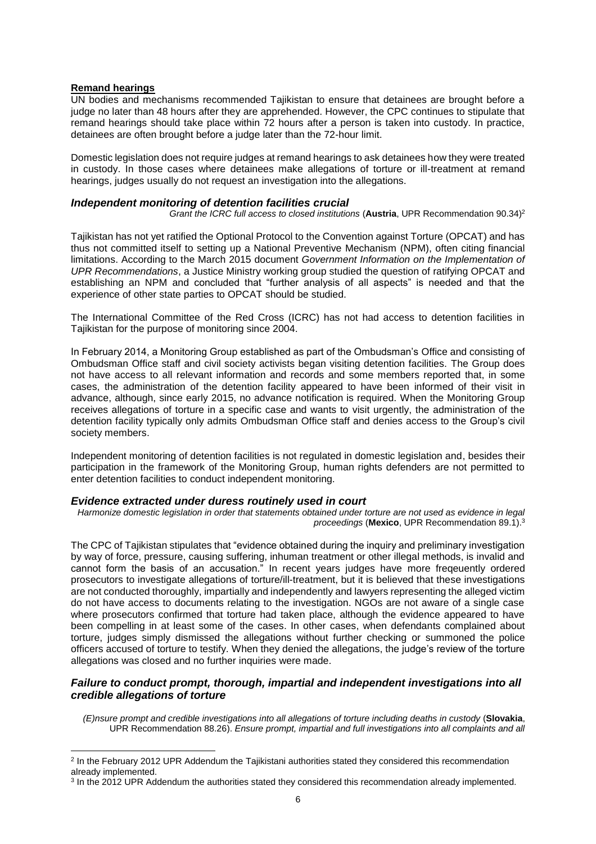#### **Remand hearings**

 $\overline{a}$ 

UN bodies and mechanisms recommended Tajikistan to ensure that detainees are brought before a judge no later than 48 hours after they are apprehended. However, the CPC continues to stipulate that remand hearings should take place within 72 hours after a person is taken into custody. In practice, detainees are often brought before a judge later than the 72-hour limit.

Domestic legislation does not require judges at remand hearings to ask detainees how they were treated in custody. In those cases where detainees make allegations of torture or ill-treatment at remand hearings, judges usually do not request an investigation into the allegations.

#### *Independent monitoring of detention facilities crucial*

*Grant the ICRC full access to closed institutions (Austria, UPR Recommendation 90.34)<sup>2</sup>* 

Tajikistan has not yet ratified the Optional Protocol to the Convention against Torture (OPCAT) and has thus not committed itself to setting up a National Preventive Mechanism (NPM), often citing financial limitations. According to the March 2015 document *Government Information on the Implementation of UPR Recommendations*, a Justice Ministry working group studied the question of ratifying OPCAT and establishing an NPM and concluded that "further analysis of all aspects" is needed and that the experience of other state parties to OPCAT should be studied.

The International Committee of the Red Cross (ICRC) has not had access to detention facilities in Tajikistan for the purpose of monitoring since 2004.

In February 2014, a Monitoring Group established as part of the Ombudsman's Office and consisting of Ombudsman Office staff and civil society activists began visiting detention facilities. The Group does not have access to all relevant information and records and some members reported that, in some cases, the administration of the detention facility appeared to have been informed of their visit in advance, although, since early 2015, no advance notification is required. When the Monitoring Group receives allegations of torture in a specific case and wants to visit urgently, the administration of the detention facility typically only admits Ombudsman Office staff and denies access to the Group's civil society members.

Independent monitoring of detention facilities is not regulated in domestic legislation and, besides their participation in the framework of the Monitoring Group, human rights defenders are not permitted to enter detention facilities to conduct independent monitoring.

## *Evidence extracted under duress routinely used in court*

*Harmonize domestic legislation in order that statements obtained under torture are not used as evidence in legal proceedings* (**Mexico**, UPR Recommendation 89.1).<sup>3</sup>

The CPC of Tajikistan stipulates that "evidence obtained during the inquiry and preliminary investigation by way of force, pressure, causing suffering, inhuman treatment or other illegal methods, is invalid and cannot form the basis of an accusation." In recent years judges have more freqeuently ordered prosecutors to investigate allegations of torture/ill-treatment, but it is believed that these investigations are not conducted thoroughly, impartially and independently and lawyers representing the alleged victim do not have access to documents relating to the investigation. NGOs are not aware of a single case where prosecutors confirmed that torture had taken place, although the evidence appeared to have been compelling in at least some of the cases. In other cases, when defendants complained about torture, judges simply dismissed the allegations without further checking or summoned the police officers accused of torture to testify. When they denied the allegations, the judge's review of the torture allegations was closed and no further inquiries were made.

## *Failure to conduct prompt, thorough, impartial and independent investigations into all credible allegations of torture*

*(E)nsure prompt and credible investigations into all allegations of torture including deaths in custody* (**Slovakia**, UPR Recommendation 88.26). *Ensure prompt, impartial and full investigations into all complaints and all* 

<sup>&</sup>lt;sup>2</sup> In the February 2012 UPR Addendum the Tajikistani authorities stated they considered this recommendation already implemented.

<sup>&</sup>lt;sup>3</sup> In the 2012 UPR Addendum the authorities stated they considered this recommendation already implemented.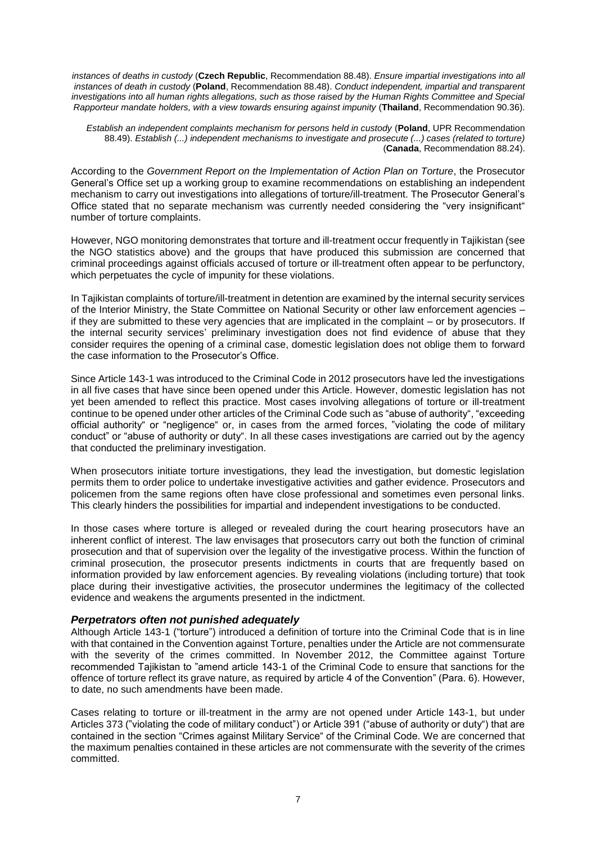*instances of deaths in custody* (**Czech Republic**, Recommendation 88.48). *Ensure impartial investigations into all instances of death in custody* (**Poland**, Recommendation 88.48). *Conduct independent, impartial and transparent*  investigations into all human rights allegations, such as those raised by the Human Rights Committee and Special *Rapporteur mandate holders, with a view towards ensuring against impunity* (**Thailand**, Recommendation 90.36).

*Establish an independent complaints mechanism for persons held in custody* (**Poland**, UPR Recommendation 88.49). *Establish (...) independent mechanisms to investigate and prosecute (...) cases (related to torture)* (**Canada**, Recommendation 88.24).

According to the *Government Report on the Implementation of Action Plan on Torture*, the Prosecutor General's Office set up a working group to examine recommendations on establishing an independent mechanism to carry out investigations into allegations of torture/ill-treatment. The Prosecutor General's Office stated that no separate mechanism was currently needed considering the "very insignificant" number of torture complaints.

However, NGO monitoring demonstrates that torture and ill-treatment occur frequently in Tajikistan (see the NGO statistics above) and the groups that have produced this submission are concerned that criminal proceedings against officials accused of torture or ill-treatment often appear to be perfunctory, which perpetuates the cycle of impunity for these violations.

In Tajikistan complaints of torture/ill-treatment in detention are examined by the internal security services of the Interior Ministry, the State Committee on National Security or other law enforcement agencies – if they are submitted to these very agencies that are implicated in the complaint – or by prosecutors. If the internal security services' preliminary investigation does not find evidence of abuse that they consider requires the opening of a criminal case, domestic legislation does not oblige them to forward the case information to the Prosecutor's Office.

Since Article 143-1 was introduced to the Criminal Code in 2012 prosecutors have led the investigations in all five cases that have since been opened under this Article. However, domestic legislation has not yet been amended to reflect this practice. Most cases involving allegations of torture or ill-treatment continue to be opened under other articles of the Criminal Code such as "abuse of authority", "exceeding official authority" or "negligence" or, in cases from the armed forces, "violating the code of military conduct" or "abuse of authority or duty". In all these cases investigations are carried out by the agency that conducted the preliminary investigation.

When prosecutors initiate torture investigations, they lead the investigation, but domestic legislation permits them to order police to undertake investigative activities and gather evidence. Prosecutors and policemen from the same regions often have close professional and sometimes even personal links. This clearly hinders the possibilities for impartial and independent investigations to be conducted.

In those cases where torture is alleged or revealed during the court hearing prosecutors have an inherent conflict of interest. The law envisages that prosecutors carry out both the function of criminal prosecution and that of supervision over the legality of the investigative process. Within the function of criminal prosecution, the prosecutor presents indictments in courts that are frequently based on information provided by law enforcement agencies. By revealing violations (including torture) that took place during their investigative activities, the prosecutor undermines the legitimacy of the collected evidence and weakens the arguments presented in the indictment.

## *Perpetrators often not punished adequately*

Although Article 143-1 ("torture") introduced a definition of torture into the Criminal Code that is in line with that contained in the Convention against Torture, penalties under the Article are not commensurate with the severity of the crimes committed. In November 2012, the Committee against Torture recommended Tajikistan to "amend article 143-1 of the Criminal Code to ensure that sanctions for the offence of torture reflect its grave nature, as required by article 4 of the Convention" (Para. 6). However, to date, no such amendments have been made.

Cases relating to torture or ill-treatment in the army are not opened under Article 143-1, but under Articles 373 ("violating the code of military conduct") or Article 391 ("abuse of authority or duty") that are contained in the section "Crimes against Military Service" of the Criminal Code. We are concerned that the maximum penalties contained in these articles are not commensurate with the severity of the crimes committed.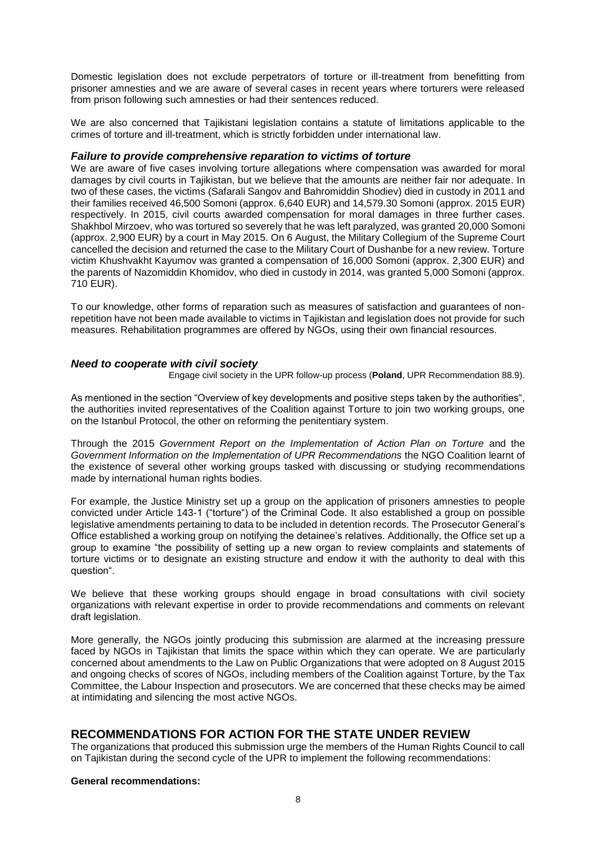Domestic legislation does not exclude perpetrators of torture or ill-treatment from benefitting from prisoner amnesties and we are aware of several cases in recent years where torturers were released from prison following such amnesties or had their sentences reduced.

We are also concerned that Tajikistani legislation contains a statute of limitations applicable to the crimes of torture and ill-treatment, which is strictly forbidden under international law.

#### *Failure to provide comprehensive reparation to victims of torture*

We are aware of five cases involving torture allegations where compensation was awarded for moral damages by civil courts in Tajikistan, but we believe that the amounts are neither fair nor adequate. In two of these cases, the victims (Safarali Sangov and Bahromiddin Shodiev) died in custody in 2011 and their families received 46,500 Somoni (approx. 6,640 EUR) and 14,579.30 Somoni (approx. 2015 EUR) respectively. In 2015, civil courts awarded compensation for moral damages in three further cases. Shakhbol Mirzoev, who was tortured so severely that he was left paralyzed, was granted 20,000 Somoni (approx. 2,900 EUR) by a court in May 2015. On 6 August, the Military Collegium of the Supreme Court cancelled the decision and returned the case to the Military Court of Dushanbe for a new review. Torture victim Khushvakht Kayumov was granted a compensation of 16,000 Somoni (approx. 2,300 EUR) and the parents of Nazomiddin Khomidov, who died in custody in 2014, was granted 5,000 Somoni (approx. 710 EUR).

To our knowledge, other forms of reparation such as measures of satisfaction and guarantees of nonrepetition have not been made available to victims in Tajikistan and legislation does not provide for such measures. Rehabilitation programmes are offered by NGOs, using their own financial resources.

## *Need to cooperate with civil society*

Engage civil society in the UPR follow-up process (**Poland**, UPR Recommendation 88.9).

As mentioned in the section "Overview of key developments and positive steps taken by the authorities", the authorities invited representatives of the Coalition against Torture to join two working groups, one on the Istanbul Protocol, the other on reforming the penitentiary system.

Through the 2015 *Government Report on the Implementation of Action Plan on Torture* and the *Government Information on the Implementation of UPR Recommendations* the NGO Coalition learnt of the existence of several other working groups tasked with discussing or studying recommendations made by international human rights bodies.

For example, the Justice Ministry set up a group on the application of prisoners amnesties to people convicted under Article 143-1 ("torture") of the Criminal Code. It also established a group on possible legislative amendments pertaining to data to be included in detention records. The Prosecutor General's Office established a working group on notifying the detainee's relatives. Additionally, the Office set up a group to examine "the possibility of setting up a new organ to review complaints and statements of torture victims or to designate an existing structure and endow it with the authority to deal with this question".

We believe that these working groups should engage in broad consultations with civil society organizations with relevant expertise in order to provide recommendations and comments on relevant draft legislation.

More generally, the NGOs jointly producing this submission are alarmed at the increasing pressure faced by NGOs in Tajikistan that limits the space within which they can operate. We are particularly concerned about amendments to the Law on Public Organizations that were adopted on 8 August 2015 and ongoing checks of scores of NGOs, including members of the Coalition against Torture, by the Tax Committee, the Labour Inspection and prosecutors. We are concerned that these checks may be aimed at intimidating and silencing the most active NGOs.

## **RECOMMENDATIONS FOR ACTION FOR THE STATE UNDER REVIEW**

The organizations that produced this submission urge the members of the Human Rights Council to call on Tajikistan during the second cycle of the UPR to implement the following recommendations:

#### **General recommendations:**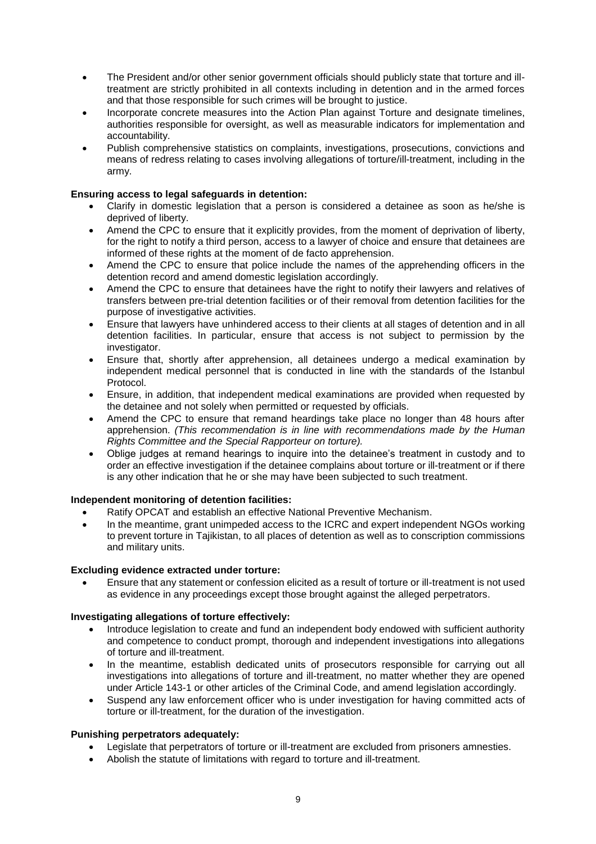- The President and/or other senior government officials should publicly state that torture and illtreatment are strictly prohibited in all contexts including in detention and in the armed forces and that those responsible for such crimes will be brought to justice.
- Incorporate concrete measures into the Action Plan against Torture and designate timelines, authorities responsible for oversight, as well as measurable indicators for implementation and accountability.
- Publish comprehensive statistics on complaints, investigations, prosecutions, convictions and means of redress relating to cases involving allegations of torture/ill-treatment, including in the army.

### **Ensuring access to legal safeguards in detention:**

- Clarify in domestic legislation that a person is considered a detainee as soon as he/she is deprived of liberty.
- Amend the CPC to ensure that it explicitly provides, from the moment of deprivation of liberty, for the right to notify a third person, access to a lawyer of choice and ensure that detainees are informed of these rights at the moment of de facto apprehension.
- Amend the CPC to ensure that police include the names of the apprehending officers in the detention record and amend domestic legislation accordingly.
- Amend the CPC to ensure that detainees have the right to notify their lawyers and relatives of transfers between pre-trial detention facilities or of their removal from detention facilities for the purpose of investigative activities.
- Ensure that lawyers have unhindered access to their clients at all stages of detention and in all detention facilities. In particular, ensure that access is not subject to permission by the investigator.
- Ensure that, shortly after apprehension, all detainees undergo a medical examination by independent medical personnel that is conducted in line with the standards of the Istanbul Protocol.
- Ensure, in addition, that independent medical examinations are provided when requested by the detainee and not solely when permitted or requested by officials.
- Amend the CPC to ensure that remand heardings take place no longer than 48 hours after apprehension. *(This recommendation is in line with recommendations made by the Human Rights Committee and the Special Rapporteur on torture).*
- Oblige judges at remand hearings to inquire into the detainee's treatment in custody and to order an effective investigation if the detainee complains about torture or ill-treatment or if there is any other indication that he or she may have been subjected to such treatment.

## **Independent monitoring of detention facilities:**

- Ratify OPCAT and establish an effective National Preventive Mechanism.
- In the meantime, grant unimpeded access to the ICRC and expert independent NGOs working to prevent torture in Tajikistan, to all places of detention as well as to conscription commissions and military units.

#### **Excluding evidence extracted under torture:**

 Ensure that any statement or confession elicited as a result of torture or ill-treatment is not used as evidence in any proceedings except those brought against the alleged perpetrators.

#### **Investigating allegations of torture effectively:**

- Introduce legislation to create and fund an independent body endowed with sufficient authority and competence to conduct prompt, thorough and independent investigations into allegations of torture and ill-treatment.
- In the meantime, establish dedicated units of prosecutors responsible for carrying out all investigations into allegations of torture and ill-treatment, no matter whether they are opened under Article 143-1 or other articles of the Criminal Code, and amend legislation accordingly.
- Suspend any law enforcement officer who is under investigation for having committed acts of torture or ill-treatment, for the duration of the investigation.

#### **Punishing perpetrators adequately:**

- Legislate that perpetrators of torture or ill-treatment are excluded from prisoners amnesties.
- Abolish the statute of limitations with regard to torture and ill-treatment.